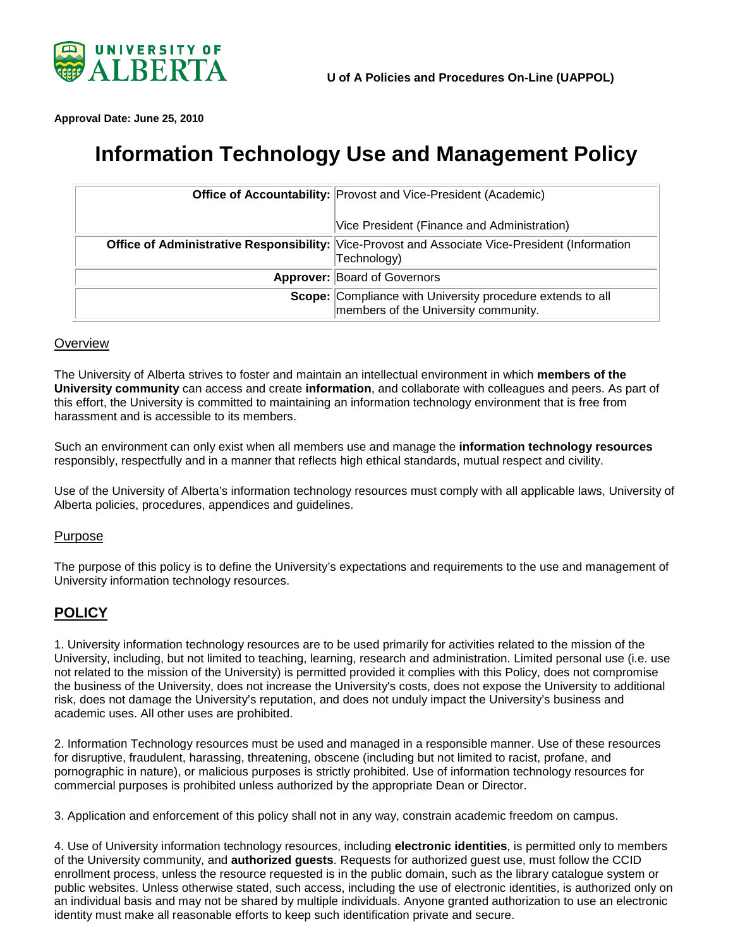

<span id="page-0-0"></span>**Approval Date: June 25, 2010**

# **Information Technology Use and Management Policy**

| <b>Office of Accountability: Provost and Vice-President (Academic)</b>                                         |
|----------------------------------------------------------------------------------------------------------------|
| Vice President (Finance and Administration)                                                                    |
| Office of Administrative Responsibility: Vice-Provost and Associate Vice-President (Information<br>Technology) |
| Approver: Board of Governors                                                                                   |
| Scope: Compliance with University procedure extends to all<br>members of the University community.             |

#### **Overview**

The University of Alberta strives to foster and maintain an intellectual environment in which **members of the University community** can access and create **information**, and collaborate with colleagues and peers. As part of this effort, the University is committed to maintaining an information technology environment that is free from harassment and is accessible to its members.

Such an environment can only exist when all members use and manage the **information technology resources** responsibly, respectfully and in a manner that reflects high ethical standards, mutual respect and civility.

Use of the University of Alberta's information technology resources must comply with all applicable laws, University of Alberta policies, procedures, appendices and guidelines.

#### Purpose

The purpose of this policy is to define the University's expectations and requirements to the use and management of University information technology resources.

## **POLICY**

1. University information technology resources are to be used primarily for activities related to the mission of the University, including, but not limited to teaching, learning, research and administration. Limited personal use (i.e. use not related to the mission of the University) is permitted provided it complies with this Policy, does not compromise the business of the University, does not increase the University's costs, does not expose the University to additional risk, does not damage the University's reputation, and does not unduly impact the University's business and academic uses. All other uses are prohibited.

2. Information Technology resources must be used and managed in a responsible manner. Use of these resources for disruptive, fraudulent, harassing, threatening, obscene (including but not limited to racist, profane, and pornographic in nature), or malicious purposes is strictly prohibited. Use of information technology resources for commercial purposes is prohibited unless authorized by the appropriate Dean or Director.

3. Application and enforcement of this policy shall not in any way, constrain academic freedom on campus.

4. Use of University information technology resources, including **electronic identities**, is permitted only to members of the University community, and **authorized guests**. Requests for authorized guest use, must follow the CCID enrollment process, unless the resource requested is in the public domain, such as the library catalogue system or public websites. Unless otherwise stated, such access, including the use of electronic identities, is authorized only on an individual basis and may not be shared by multiple individuals. Anyone granted authorization to use an electronic identity must make all reasonable efforts to keep such identification private and secure.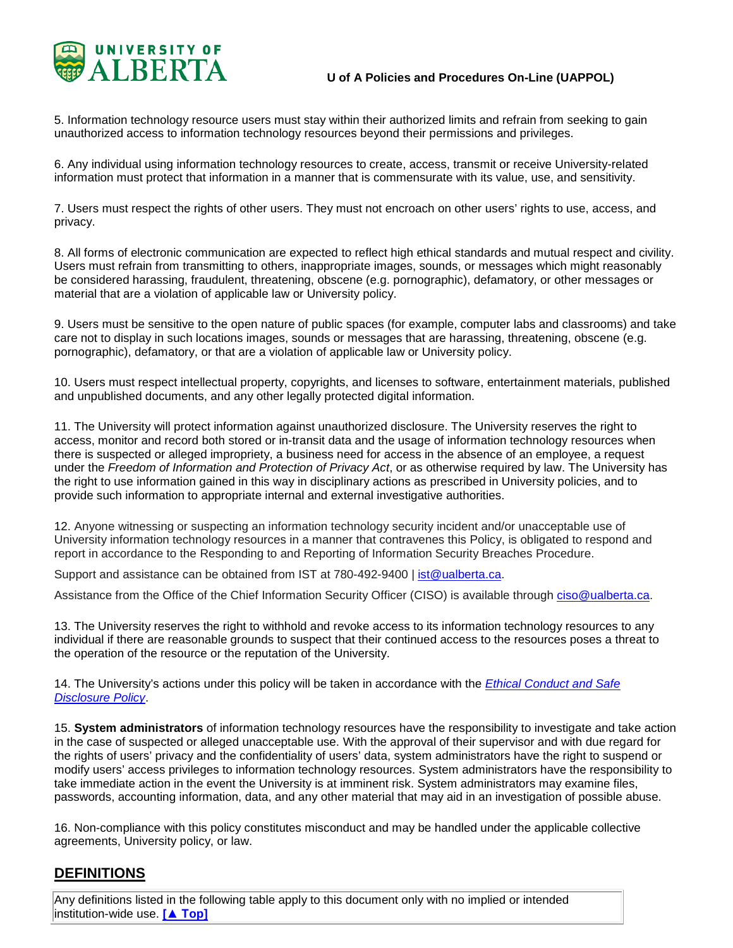

5. Information technology resource users must stay within their authorized limits and refrain from seeking to gain unauthorized access to information technology resources beyond their permissions and privileges.

6. Any individual using information technology resources to create, access, transmit or receive University-related information must protect that information in a manner that is commensurate with its value, use, and sensitivity.

7. Users must respect the rights of other users. They must not encroach on other users' rights to use, access, and privacy.

8. All forms of electronic communication are expected to reflect high ethical standards and mutual respect and civility. Users must refrain from transmitting to others, inappropriate images, sounds, or messages which might reasonably be considered harassing, fraudulent, threatening, obscene (e.g. pornographic), defamatory, or other messages or material that are a violation of applicable law or University policy.

9. Users must be sensitive to the open nature of public spaces (for example, computer labs and classrooms) and take care not to display in such locations images, sounds or messages that are harassing, threatening, obscene (e.g. pornographic), defamatory, or that are a violation of applicable law or University policy.

10. Users must respect intellectual property, copyrights, and licenses to software, entertainment materials, published and unpublished documents, and any other legally protected digital information.

11. The University will protect information against unauthorized disclosure. The University reserves the right to access, monitor and record both stored or in-transit data and the usage of information technology resources when there is suspected or alleged impropriety, a business need for access in the absence of an employee, a request under the *Freedom of Information and Protection of Privacy Act*, or as otherwise required by law. The University has the right to use information gained in this way in disciplinary actions as prescribed in University policies, and to provide such information to appropriate internal and external investigative authorities.

12. Anyone witnessing or suspecting an information technology security incident and/or unacceptable use of University information technology resources in a manner that contravenes this Policy, is obligated to respond and report in accordance to the Responding to and Reporting of Information Security Breaches Procedure.

Support and assistance can be obtained from IST at 780-492-9400 | [ist@ualberta.ca.](mailto:ist@ualberta.ca)

Assistance from the Office of the Chief Information Security Officer (CISO) is available through [ciso@ualberta.ca.](mailto:ciso@ualberta.ca)

13. The University reserves the right to withhold and revoke access to its information technology resources to any individual if there are reasonable grounds to suspect that their continued access to the resources poses a threat to the operation of the resource or the reputation of the University.

14. The University's actions under this policy will be taken in accordance with the *[Ethical Conduct and Safe](https://policiesonline.ualberta.ca/PoliciesProcedures/Policies/Ethical-Conduct-and-Safe-Disclosure-Policy.pdf)  [Disclosure Policy](https://policiesonline.ualberta.ca/PoliciesProcedures/Policies/Ethical-Conduct-and-Safe-Disclosure-Policy.pdf)*.

15. **System administrators** of information technology resources have the responsibility to investigate and take action in the case of suspected or alleged unacceptable use. With the approval of their supervisor and with due regard for the rights of users' privacy and the confidentiality of users' data, system administrators have the right to suspend or modify users' access privileges to information technology resources. System administrators have the responsibility to take immediate action in the event the University is at imminent risk. System administrators may examine files, passwords, accounting information, data, and any other material that may aid in an investigation of possible abuse.

16. Non-compliance with this policy constitutes misconduct and may be handled under the applicable collective agreements, University policy, or law.

## **DEFINITIONS**

Any definitions listed in the following table apply to this document only with no implied or intended institution-wide use. **[\[▲ T](#page-0-0)op]**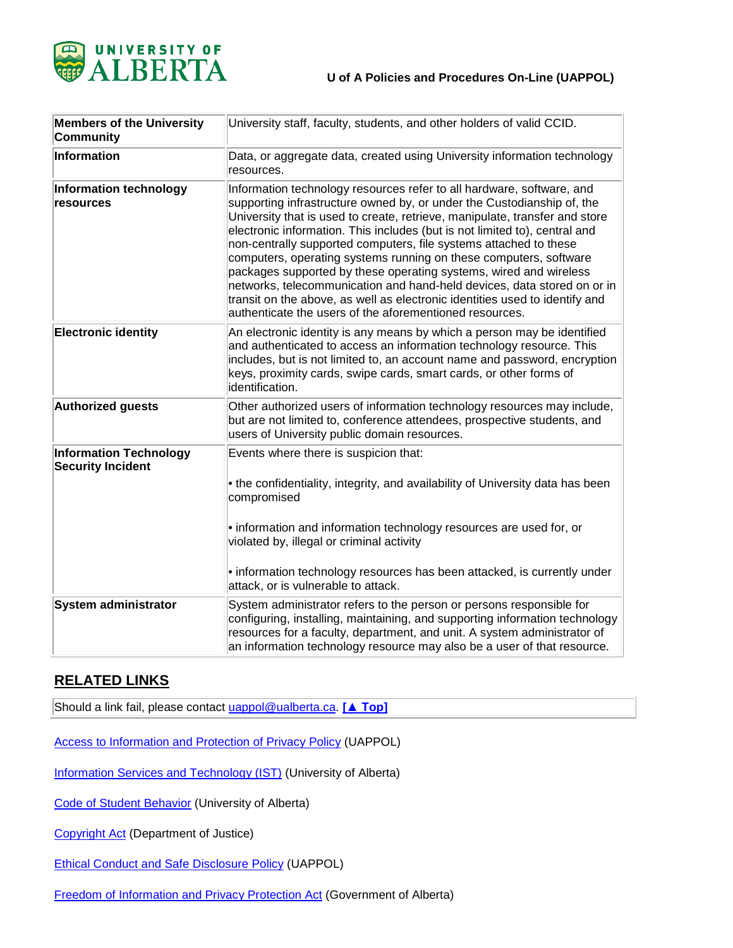

| <b>Members of the University</b><br><b>Community</b>      | University staff, faculty, students, and other holders of valid CCID.                                                                                                                                                                                                                                                                                                                                                                                                                                                                                                                                                                                                                                                                            |
|-----------------------------------------------------------|--------------------------------------------------------------------------------------------------------------------------------------------------------------------------------------------------------------------------------------------------------------------------------------------------------------------------------------------------------------------------------------------------------------------------------------------------------------------------------------------------------------------------------------------------------------------------------------------------------------------------------------------------------------------------------------------------------------------------------------------------|
| Information                                               | Data, or aggregate data, created using University information technology<br>resources.                                                                                                                                                                                                                                                                                                                                                                                                                                                                                                                                                                                                                                                           |
| Information technology<br>resources                       | Information technology resources refer to all hardware, software, and<br>supporting infrastructure owned by, or under the Custodianship of, the<br>University that is used to create, retrieve, manipulate, transfer and store<br>electronic information. This includes (but is not limited to), central and<br>non-centrally supported computers, file systems attached to these<br>computers, operating systems running on these computers, software<br>packages supported by these operating systems, wired and wireless<br>networks, telecommunication and hand-held devices, data stored on or in<br>transit on the above, as well as electronic identities used to identify and<br>authenticate the users of the aforementioned resources. |
| <b>Electronic identity</b>                                | An electronic identity is any means by which a person may be identified<br>and authenticated to access an information technology resource. This<br>includes, but is not limited to, an account name and password, encryption<br>keys, proximity cards, swipe cards, smart cards, or other forms of<br>identification.                                                                                                                                                                                                                                                                                                                                                                                                                            |
| <b>Authorized guests</b>                                  | Other authorized users of information technology resources may include,<br>but are not limited to, conference attendees, prospective students, and<br>users of University public domain resources.                                                                                                                                                                                                                                                                                                                                                                                                                                                                                                                                               |
| <b>Information Technology</b><br><b>Security Incident</b> | Events where there is suspicion that:<br>• the confidentiality, integrity, and availability of University data has been<br>compromised<br>• information and information technology resources are used for, or<br>violated by, illegal or criminal activity<br>• information technology resources has been attacked, is currently under<br>attack, or is vulnerable to attack.                                                                                                                                                                                                                                                                                                                                                                    |
| System administrator                                      | System administrator refers to the person or persons responsible for<br>configuring, installing, maintaining, and supporting information technology<br>resources for a faculty, department, and unit. A system administrator of<br>an information technology resource may also be a user of that resource.                                                                                                                                                                                                                                                                                                                                                                                                                                       |

## **RELATED LINKS**

Should a link fail, please contact [uappol@ualberta.ca.](mailto:uappol@ualberta.ca) **[\[▲ T](#page-0-0)op]**

[Access to Information and Protection of Privacy Policy](https://policiesonline.ualberta.ca/PoliciesProcedures/Policies/Access-to-Information-and-Protection-of-Privacy-Policy.pdf) (UAPPOL)

[Information Services and Technology \(IST\)](https://www.ist.ualberta.ca/) (University of Alberta)

[Code of Student Behavior](http://www.governance.ualberta.ca/CodesofConductandResidenceCommunityStandards/CodeofStudentBehaviour.aspx) (University of Alberta)

[Copyright Act](http://laws-lois.justice.gc.ca/eng/acts/C-42/index.html) (Department of Justice)

[Ethical Conduct and Safe Disclosure Policy](https://policiesonline.ualberta.ca/PoliciesProcedures/Policies/Ethical-Conduct-and-Safe-Disclosure-Policy.pdf) (UAPPOL)

[Freedom of Information and Privacy Protection Act](http://foip.alberta.ca/) (Government of Alberta)